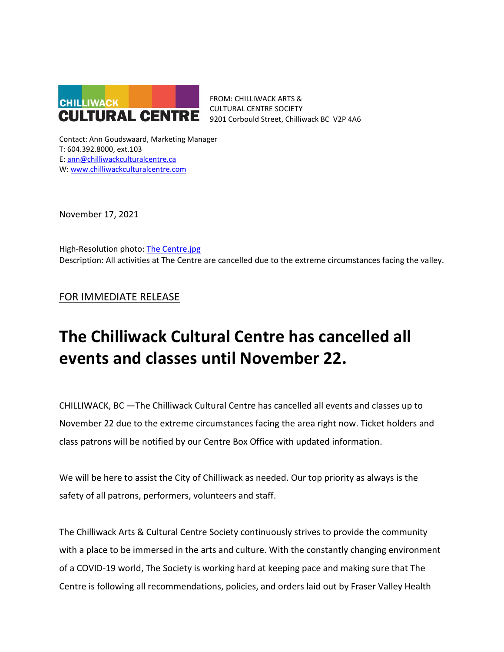

FROM: CHILLIWACK ARTS & CULTURAL CENTRE SOCIETY 9201 Corbould Street, Chilliwack BC V2P 4A6

Contact: Ann Goudswaard, Marketing Manager T: 604.392.8000, ext.103 E: [ann@chilliwackculturalcentre.ca](mailto:ann@chilliwackculturalcentre.ca) W: [www.chilliwackculturalcentre.com](http://www.chilliwackculturalcentre.com/)

November 17, 2021

High-Resolution photo: [The Centre.jpg](https://www.chilliwackculturalcentre.ca/wordpress/wp-content/uploads/2021/11/The-Centre.jpg) Description: All activities at The Centre are cancelled due to the extreme circumstances facing the valley.

FOR IMMEDIATE RELEASE

# **The Chilliwack Cultural Centre has cancelled all events and classes until November 22.**

CHILLIWACK, BC —The Chilliwack Cultural Centre has cancelled all events and classes up to November 22 due to the extreme circumstances facing the area right now. Ticket holders and class patrons will be notified by our Centre Box Office with updated information.

We will be here to assist the City of Chilliwack as needed. Our top priority as always is the safety of all patrons, performers, volunteers and staff.

The Chilliwack Arts & Cultural Centre Society continuously strives to provide the community with a place to be immersed in the arts and culture. With the constantly changing environment of a COVID-19 world, The Society is working hard at keeping pace and making sure that The Centre is following all recommendations, policies, and orders laid out by Fraser Valley Health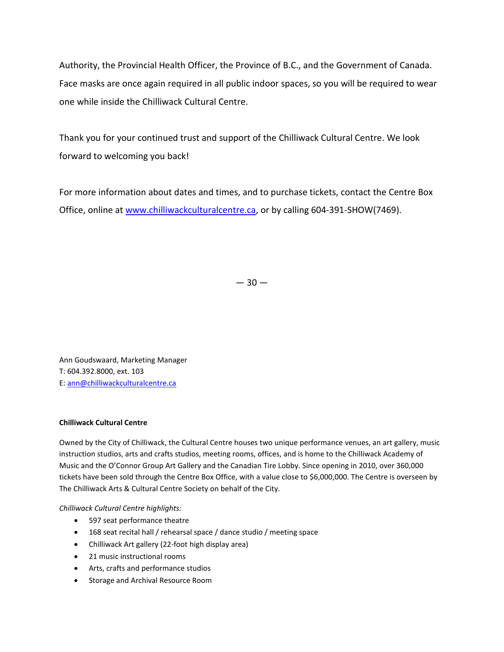Authority, the Provincial Health Officer, the Province of B.C., and the Government of Canada. Face masks are once again required in all public indoor spaces, so you will be required to wear one while inside the Chilliwack Cultural Centre.

Thank you for your continued trust and support of the Chilliwack Cultural Centre. We look forward to welcoming you back!

For more information about dates and times, and to purchase tickets, contact the Centre Box Office, online at [www.chilliwackculturalcentre.ca,](http://www.chilliwackculturalcentre.ca/) or by calling 604-391-SHOW(7469).

 $-30-$ 

Ann Goudswaard, Marketing Manager T: 604.392.8000, ext. 103 E: [ann@chilliwackculturalcentre.ca](mailto:ann@chilliwackculturalcentre.ca)

## **Chilliwack Cultural Centre**

Owned by the City of Chilliwack, the Cultural Centre houses two unique performance venues, an art gallery, music instruction studios, arts and crafts studios, meeting rooms, offices, and is home to the Chilliwack Academy of Music and the O'Connor Group Art Gallery and the Canadian Tire Lobby. Since opening in 2010, over 360,000 tickets have been sold through the Centre Box Office, with a value close to \$6,000,000. The Centre is overseen by The Chilliwack Arts & Cultural Centre Society on behalf of the City.

*Chilliwack Cultural Centre highlights:*

- 597 seat performance theatre
- 168 seat recital hall / rehearsal space / dance studio / meeting space
- Chilliwack Art gallery (22-foot high display area)
- 21 music instructional rooms
- Arts, crafts and performance studios
- Storage and Archival Resource Room